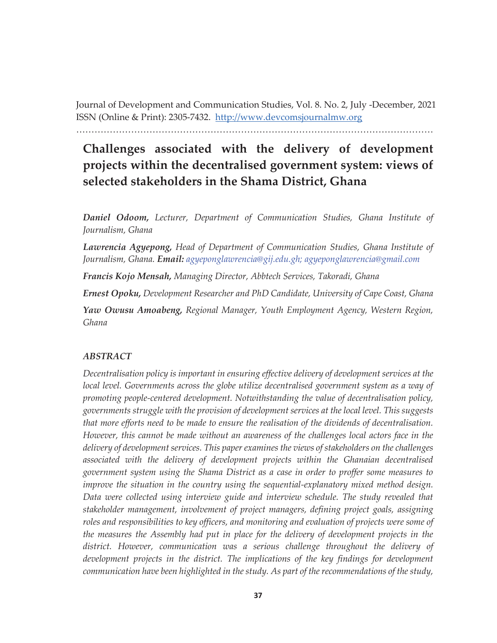Journal of Development and Communication Studies, Vol. 8. No. 2, July -December, 2021 ISSN (Online & Print): 2305-7432. http://www.devcomsjournalmw.org

………………………………………………………………………………………………………

# **Challenges associated with the delivery of development projects within the decentralised government system: views of selected stakeholders in the Shama District, Ghana**

*Daniel Odoom, Lecturer, Department of Communication Studies, Ghana Institute of Journalism, Ghana*

*Lawrencia Agyepong, Head of Department of Communication Studies, Ghana Institute of Journalism, Ghana. Email: agyeponglawrencia@gij.edu.gh; agyeponglawrencia@gmail.com* 

*Francis Kojo Mensah, Managing Director, Abbtech Services, Takoradi, Ghana*

*Ernest Opoku, Development Researcher and PhD Candidate, University of Cape Coast, Ghana Yaw Owusu Amoabeng, Regional Manager, Youth Employment Agency, Western Region, Ghana*

# *ABSTRACT*

*Decentralisation policy is important in ensuring effective delivery of development services at the*  local level. Governments across the globe utilize decentralised government system as a way of *promoting people-centered development. Notwithstanding the value of decentralisation policy, governments struggle with the provision of development services at the local level. This suggests that more efforts need to be made to ensure the realisation of the dividends of decentralisation. However, this cannot be made without an awareness of the challenges local actors face in the delivery of development services. This paper examines the views of stakeholders on the challenges associated with the delivery of development projects within the Ghanaian decentralised government system using the Shama District as a case in order to proffer some measures to improve the situation in the country using the sequential-explanatory mixed method design. Data were collected using interview guide and interview schedule. The study revealed that stakeholder management, involvement of project managers, defining project goals, assigning*  roles and responsibilities to key officers, and monitoring and evaluation of projects were some of *the measures the Assembly had put in place for the delivery of development projects in the district. However, communication was a serious challenge throughout the delivery of*  development projects in the district. The implications of the key findings for development *communication have been highlighted in the study. As part of the recommendations of the study,*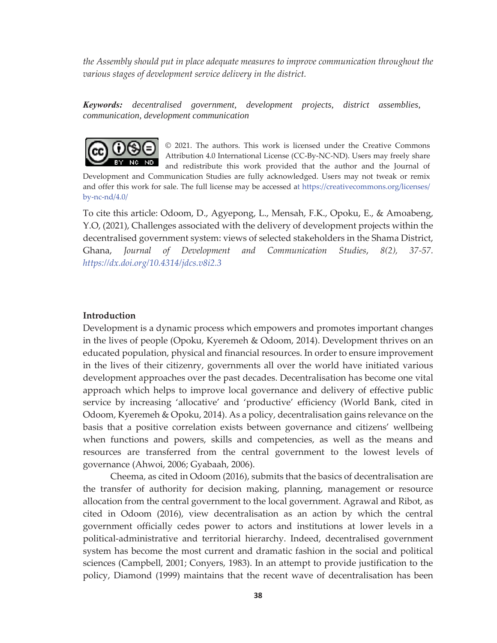*the Assembly should put in place adequate measures to improve communication throughout the various stages of development service delivery in the district.* 

*Keywords: decentralised government, development projects, district assemblies, communication, development communication* 



© 2021. The authors. This work is licensed under the Creative Commons Attribution 4.0 International License (CC-By-NC-ND). Users may freely share and redistribute this work provided that the author and the Journal of

Development and Communication Studies are fully acknowledged. Users may not tweak or remix and offer this work for sale. The full license may be accessed at https://creativecommons.org/licenses/ by-nc-nd/4.0/

To cite this article: Odoom, D., Agyepong, L., Mensah, F.K., Opoku, E., & Amoabeng, Y.O, (2021), Challenges associated with the delivery of development projects within the decentralised government system: views of selected stakeholders in the Shama District, Ghana, *Journal of Development and Communication Studies*, *8(2), 37-57. https://dx.doi.org/10.4314/jdcs.v8i2.3* 

## **Introduction**

Development is a dynamic process which empowers and promotes important changes in the lives of people (Opoku, Kyeremeh & Odoom, 2014). Development thrives on an educated population, physical and financial resources. In order to ensure improvement in the lives of their citizenry, governments all over the world have initiated various development approaches over the past decades. Decentralisation has become one vital approach which helps to improve local governance and delivery of effective public service by increasing 'allocative' and 'productive' efficiency (World Bank, cited in Odoom, Kyeremeh & Opoku, 2014). As a policy, decentralisation gains relevance on the basis that a positive correlation exists between governance and citizens' wellbeing when functions and powers, skills and competencies, as well as the means and resources are transferred from the central government to the lowest levels of governance (Ahwoi, 2006; Gyabaah, 2006).

Cheema, as cited in Odoom (2016), submits that the basics of decentralisation are the transfer of authority for decision making, planning, management or resource allocation from the central government to the local government. Agrawal and Ribot, as cited in Odoom (2016), view decentralisation as an action by which the central government officially cedes power to actors and institutions at lower levels in a political-administrative and territorial hierarchy. Indeed, decentralised government system has become the most current and dramatic fashion in the social and political sciences (Campbell, 2001; Conyers, 1983). In an attempt to provide justification to the policy, Diamond (1999) maintains that the recent wave of decentralisation has been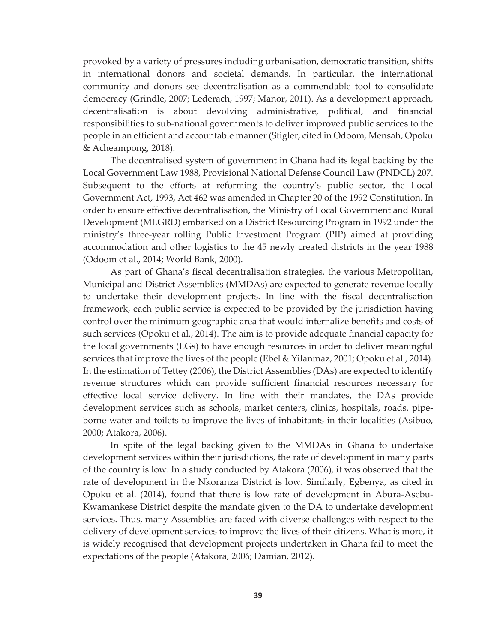provoked by a variety of pressures including urbanisation, democratic transition, shifts in international donors and societal demands. In particular, the international community and donors see decentralisation as a commendable tool to consolidate democracy (Grindle, 2007; Lederach, 1997; Manor, 2011). As a development approach, decentralisation is about devolving administrative, political, and financial responsibilities to sub-national governments to deliver improved public services to the people in an efficient and accountable manner (Stigler, cited in Odoom, Mensah, Opoku & Acheampong, 2018).

The decentralised system of government in Ghana had its legal backing by the Local Government Law 1988, Provisional National Defense Council Law (PNDCL) 207. Subsequent to the efforts at reforming the country's public sector, the Local Government Act, 1993, Act 462 was amended in Chapter 20 of the 1992 Constitution. In order to ensure effective decentralisation, the Ministry of Local Government and Rural Development (MLGRD) embarked on a District Resourcing Program in 1992 under the ministry's three-year rolling Public Investment Program (PIP) aimed at providing accommodation and other logistics to the 45 newly created districts in the year 1988 (Odoom et al., 2014; World Bank, 2000).

As part of Ghana's fiscal decentralisation strategies, the various Metropolitan, Municipal and District Assemblies (MMDAs) are expected to generate revenue locally to undertake their development projects. In line with the fiscal decentralisation framework, each public service is expected to be provided by the jurisdiction having control over the minimum geographic area that would internalize benefits and costs of such services (Opoku et al., 2014). The aim is to provide adequate financial capacity for the local governments (LGs) to have enough resources in order to deliver meaningful services that improve the lives of the people (Ebel & Yilanmaz, 2001; Opoku et al., 2014). In the estimation of Tettey (2006), the District Assemblies (DAs) are expected to identify revenue structures which can provide sufficient financial resources necessary for effective local service delivery. In line with their mandates, the DAs provide development services such as schools, market centers, clinics, hospitals, roads, pipeborne water and toilets to improve the lives of inhabitants in their localities (Asibuo, 2000; Atakora, 2006).

In spite of the legal backing given to the MMDAs in Ghana to undertake development services within their jurisdictions, the rate of development in many parts of the country is low. In a study conducted by Atakora (2006), it was observed that the rate of development in the Nkoranza District is low. Similarly, Egbenya, as cited in Opoku et al. (2014), found that there is low rate of development in Abura-Asebu-Kwamankese District despite the mandate given to the DA to undertake development services. Thus, many Assemblies are faced with diverse challenges with respect to the delivery of development services to improve the lives of their citizens. What is more, it is widely recognised that development projects undertaken in Ghana fail to meet the expectations of the people (Atakora, 2006; Damian, 2012).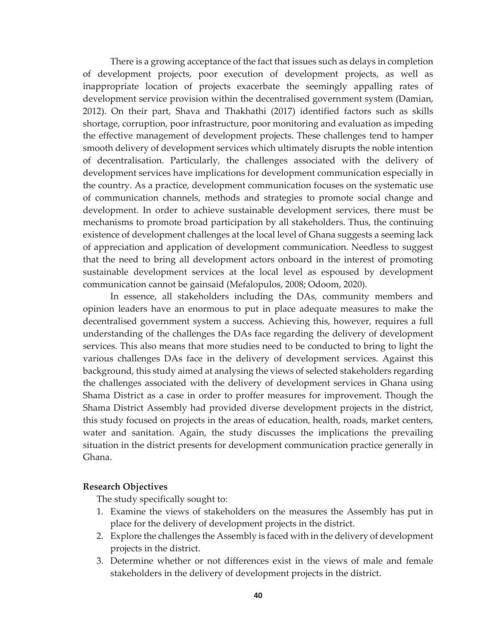There is a growing acceptance of the fact that issues such as delays in completion of development projects, poor execution of development projects, as well as inappropriate location of projects exacerbate the seemingly appalling rates of development service provision within the decentralised government system (Damian, 2012). On their part, Shava and Thakhathi (2017) identified factors such as skills shortage, corruption, poor infrastructure, poor monitoring and evaluation as impeding the effective management of development projects. These challenges tend to hamper smooth delivery of development services which ultimately disrupts the noble intention of decentralisation. Particularly, the challenges associated with the delivery of development services have implications for development communication especially in the country. As a practice, development communication focuses on the systematic use of communication channels, methods and strategies to promote social change and development. In order to achieve sustainable development services, there must be mechanisms to promote broad participation by all stakeholders. Thus, the continuing existence of development challenges at the local level of Ghana suggests a seeming lack of appreciation and application of development communication. Needless to suggest that the need to bring all development actors onboard in the interest of promoting sustainable development services at the local level as espoused by development communication cannot be gainsaid (Mefalopulos, 2008; Odoom, 2020).

In essence, all stakeholders including the DAs, community members and opinion leaders have an enormous to put in place adequate measures to make the decentralised government system a success. Achieving this, however, requires a full understanding of the challenges the DAs face regarding the delivery of development services. This also means that more studies need to be conducted to bring to light the various challenges DAs face in the delivery of development services. Against this background, this study aimed at analysing the views of selected stakeholders regarding the challenges associated with the delivery of development services in Ghana using Shama District as a case in order to proffer measures for improvement. Though the Shama District Assembly had provided diverse development projects in the district, this study focused on projects in the areas of education, health, roads, market centers, water and sanitation. Again, the study discusses the implications the prevailing situation in the district presents for development communication practice generally in Ghana.

## **Research Objectives**

The study specifically sought to:

- 1. Examine the views of stakeholders on the measures the Assembly has put in place for the delivery of development projects in the district.
- 2. Explore the challenges the Assembly is faced with in the delivery of development projects in the district.
- 3. Determine whether or not differences exist in the views of male and female stakeholders in the delivery of development projects in the district.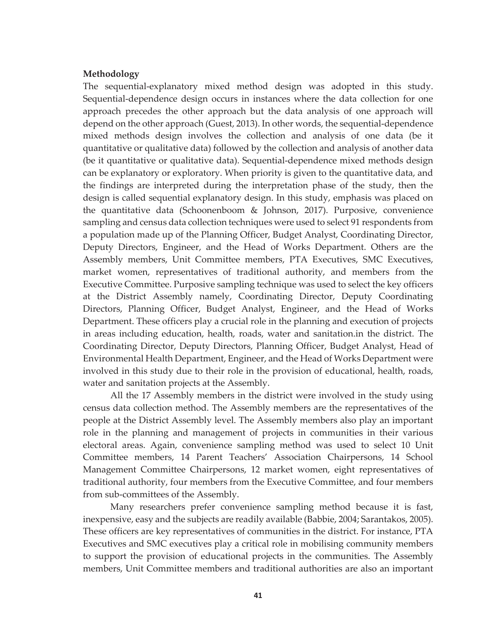#### **Methodology**

The sequential-explanatory mixed method design was adopted in this study. Sequential-dependence design occurs in instances where the data collection for one approach precedes the other approach but the data analysis of one approach will depend on the other approach (Guest, 2013). In other words, the sequential-dependence mixed methods design involves the collection and analysis of one data (be it quantitative or qualitative data) followed by the collection and analysis of another data (be it quantitative or qualitative data). Sequential-dependence mixed methods design can be explanatory or exploratory. When priority is given to the quantitative data, and the findings are interpreted during the interpretation phase of the study, then the design is called sequential explanatory design. In this study, emphasis was placed on the quantitative data (Schoonenboom & Johnson, 2017). Purposive, convenience sampling and census data collection techniques were used to select 91 respondents from a population made up of the Planning Officer, Budget Analyst, Coordinating Director, Deputy Directors, Engineer, and the Head of Works Department. Others are the Assembly members, Unit Committee members, PTA Executives, SMC Executives, market women, representatives of traditional authority, and members from the Executive Committee. Purposive sampling technique was used to select the key officers at the District Assembly namely, Coordinating Director, Deputy Coordinating Directors, Planning Officer, Budget Analyst, Engineer, and the Head of Works Department. These officers play a crucial role in the planning and execution of projects in areas including education, health, roads, water and sanitation.in the district. The Coordinating Director, Deputy Directors, Planning Officer, Budget Analyst, Head of Environmental Health Department, Engineer, and the Head of Works Department were involved in this study due to their role in the provision of educational, health, roads, water and sanitation projects at the Assembly.

All the 17 Assembly members in the district were involved in the study using census data collection method. The Assembly members are the representatives of the people at the District Assembly level. The Assembly members also play an important role in the planning and management of projects in communities in their various electoral areas. Again, convenience sampling method was used to select 10 Unit Committee members, 14 Parent Teachers' Association Chairpersons, 14 School Management Committee Chairpersons, 12 market women, eight representatives of traditional authority, four members from the Executive Committee, and four members from sub-committees of the Assembly.

Many researchers prefer convenience sampling method because it is fast, inexpensive, easy and the subjects are readily available (Babbie, 2004; Sarantakos, 2005). These officers are key representatives of communities in the district. For instance, PTA Executives and SMC executives play a critical role in mobilising community members to support the provision of educational projects in the communities. The Assembly members, Unit Committee members and traditional authorities are also an important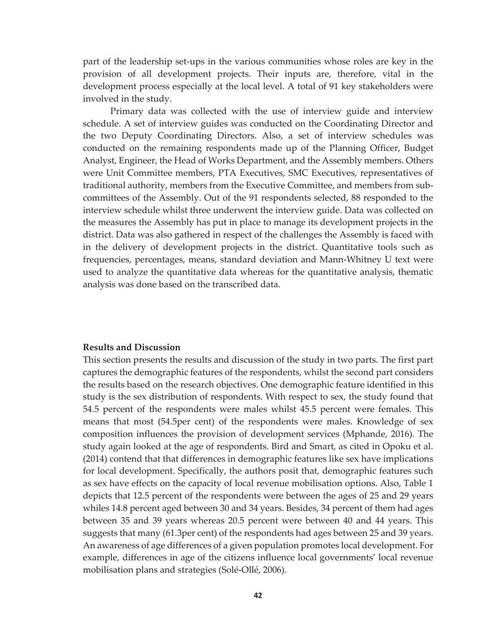part of the leadership set-ups in the various communities whose roles are key in the provision of all development projects. Their inputs are, therefore, vital in the development process especially at the local level. A total of 91 key stakeholders were involved in the study.

Primary data was collected with the use of interview guide and interview schedule. A set of interview guides was conducted on the Coordinating Director and the two Deputy Coordinating Directors. Also, a set of interview schedules was conducted on the remaining respondents made up of the Planning Officer, Budget Analyst, Engineer, the Head of Works Department, and the Assembly members. Others were Unit Committee members, PTA Executives, SMC Executives, representatives of traditional authority, members from the Executive Committee, and members from subcommittees of the Assembly. Out of the 91 respondents selected, 88 responded to the interview schedule whilst three underwent the interview guide. Data was collected on the measures the Assembly has put in place to manage its development projects in the district. Data was also gathered in respect of the challenges the Assembly is faced with in the delivery of development projects in the district. Quantitative tools such as frequencies, percentages, means, standard deviation and Mann-Whitney U text were used to analyze the quantitative data whereas for the quantitative analysis, thematic analysis was done based on the transcribed data.

#### **Results and Discussion**

This section presents the results and discussion of the study in two parts. The first part captures the demographic features of the respondents, whilst the second part considers the results based on the research objectives. One demographic feature identified in this study is the sex distribution of respondents. With respect to sex, the study found that 54.5 percent of the respondents were males whilst 45.5 percent were females. This means that most (54.5per cent) of the respondents were males. Knowledge of sex composition influences the provision of development services (Mphande, 2016). The study again looked at the age of respondents. Bird and Smart, as cited in Opoku et al. (2014) contend that that differences in demographic features like sex have implications for local development. Specifically, the authors posit that, demographic features such as sex have effects on the capacity of local revenue mobilisation options. Also, Table 1 depicts that 12.5 percent of the respondents were between the ages of 25 and 29 years whiles 14.8 percent aged between 30 and 34 years. Besides, 34 percent of them had ages between 35 and 39 years whereas 20.5 percent were between 40 and 44 years. This suggests that many (61.3per cent) of the respondents had ages between 25 and 39 years. An awareness of age differences of a given population promotes local development. For example, differences in age of the citizens influence local governments' local revenue mobilisation plans and strategies (Solé-Ollé, 2006).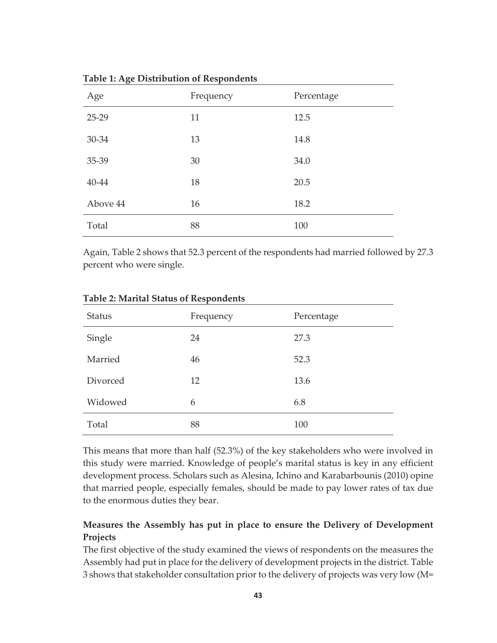| Age      | Frequency | Percentage |  |
|----------|-----------|------------|--|
| $25-29$  | 11        | 12.5       |  |
| 30-34    | 13        | 14.8       |  |
| 35-39    | 30        | 34.0       |  |
| 40-44    | 18        | 20.5       |  |
| Above 44 | 16        | 18.2       |  |
| Total    | 88        | 100        |  |

**Table 1: Age Distribution of Respondents** 

Again, Table 2 shows that 52.3 percent of the respondents had married followed by 27.3 percent who were single.

| <b>Status</b> | Frequency | Percentage |  |
|---------------|-----------|------------|--|
| Single        | 24        | 27.3       |  |
| Married       | 46        | 52.3       |  |
| Divorced      | 12        | 13.6       |  |
| Widowed       | 6         | 6.8        |  |
| Total         | 88        | 100        |  |

**Table 2: Marital Status of Respondents** 

This means that more than half (52.3%) of the key stakeholders who were involved in this study were married. Knowledge of people's marital status is key in any efficient development process. Scholars such as Alesina, Ichino and Karabarbounis (2010) opine that married people, especially females, should be made to pay lower rates of tax due to the enormous duties they bear.

# **Measures the Assembly has put in place to ensure the Delivery of Development Projects**

The first objective of the study examined the views of respondents on the measures the Assembly had put in place for the delivery of development projects in the district. Table 3 shows that stakeholder consultation prior to the delivery of projects was very low (M=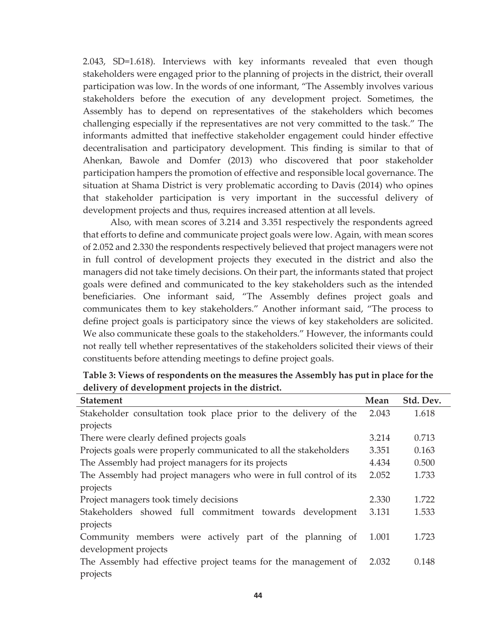2.043, SD=1.618). Interviews with key informants revealed that even though stakeholders were engaged prior to the planning of projects in the district, their overall participation was low. In the words of one informant, "The Assembly involves various stakeholders before the execution of any development project. Sometimes, the Assembly has to depend on representatives of the stakeholders which becomes challenging especially if the representatives are not very committed to the task." The informants admitted that ineffective stakeholder engagement could hinder effective decentralisation and participatory development. This finding is similar to that of Ahenkan, Bawole and Domfer (2013) who discovered that poor stakeholder participation hampers the promotion of effective and responsible local governance. The situation at Shama District is very problematic according to Davis (2014) who opines that stakeholder participation is very important in the successful delivery of development projects and thus, requires increased attention at all levels.

Also, with mean scores of 3.214 and 3.351 respectively the respondents agreed that efforts to define and communicate project goals were low. Again, with mean scores of 2.052 and 2.330 the respondents respectively believed that project managers were not in full control of development projects they executed in the district and also the managers did not take timely decisions. On their part, the informants stated that project goals were defined and communicated to the key stakeholders such as the intended beneficiaries. One informant said, "The Assembly defines project goals and communicates them to key stakeholders." Another informant said, "The process to define project goals is participatory since the views of key stakeholders are solicited. We also communicate these goals to the stakeholders." However, the informants could not really tell whether representatives of the stakeholders solicited their views of their constituents before attending meetings to define project goals.

| <b>Statement</b>                                                  | Mean  | Std. Dev. |
|-------------------------------------------------------------------|-------|-----------|
| Stakeholder consultation took place prior to the delivery of the  | 2.043 | 1.618     |
| projects                                                          |       |           |
| There were clearly defined projects goals                         | 3.214 | 0.713     |
| Projects goals were properly communicated to all the stakeholders | 3.351 | 0.163     |
| The Assembly had project managers for its projects                | 4.434 | 0.500     |
| The Assembly had project managers who were in full control of its | 2.052 | 1.733     |
| projects                                                          |       |           |
| Project managers took timely decisions                            | 2.330 | 1.722     |
| Stakeholders showed full commitment towards development           | 3.131 | 1.533     |
| projects                                                          |       |           |
| Community members were actively part of the planning of           | 1.001 | 1.723     |
| development projects                                              |       |           |
| The Assembly had effective project teams for the management of    | 2.032 | 0.148     |
| projects                                                          |       |           |

**Table 3: Views of respondents on the measures the Assembly has put in place for the delivery of development projects in the district.**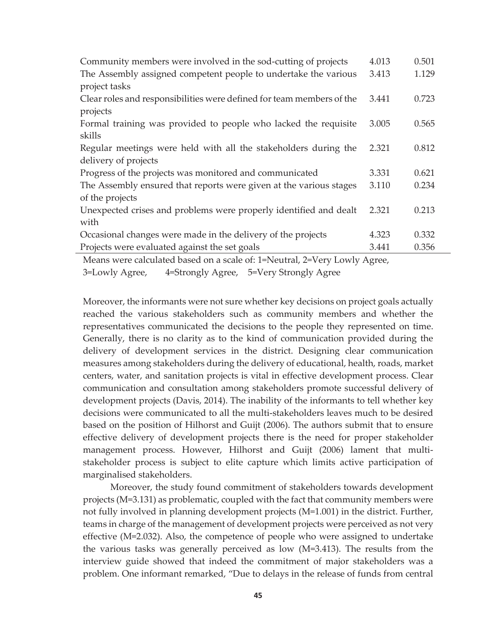| Community members were involved in the sod-cutting of projects        | 4.013 | 0.501 |
|-----------------------------------------------------------------------|-------|-------|
| The Assembly assigned competent people to undertake the various       | 3.413 | 1.129 |
| project tasks                                                         |       |       |
| Clear roles and responsibilities were defined for team members of the | 3.441 | 0.723 |
| projects                                                              |       |       |
| Formal training was provided to people who lacked the requisite       | 3.005 | 0.565 |
| skills                                                                |       |       |
| Regular meetings were held with all the stakeholders during the       | 2.321 | 0.812 |
| delivery of projects                                                  |       |       |
| Progress of the projects was monitored and communicated               | 3.331 | 0.621 |
| The Assembly ensured that reports were given at the various stages    | 3.110 | 0.234 |
| of the projects                                                       |       |       |
| Unexpected crises and problems were properly identified and dealt     | 2.321 | 0.213 |
| with                                                                  |       |       |
| Occasional changes were made in the delivery of the projects          | 4.323 | 0.332 |
| Projects were evaluated against the set goals                         | 3.441 | 0.356 |
|                                                                       |       |       |

Means were calculated based on a scale of: 1=Neutral, 2=Very Lowly Agree, 3=Lowly Agree, 4=Strongly Agree, 5=Very Strongly Agree

Moreover, the informants were not sure whether key decisions on project goals actually reached the various stakeholders such as community members and whether the representatives communicated the decisions to the people they represented on time. Generally, there is no clarity as to the kind of communication provided during the delivery of development services in the district. Designing clear communication measures among stakeholders during the delivery of educational, health, roads, market centers, water, and sanitation projects is vital in effective development process. Clear communication and consultation among stakeholders promote successful delivery of development projects (Davis, 2014). The inability of the informants to tell whether key decisions were communicated to all the multi-stakeholders leaves much to be desired based on the position of Hilhorst and Guijt (2006). The authors submit that to ensure effective delivery of development projects there is the need for proper stakeholder management process. However, Hilhorst and Guijt (2006) lament that multistakeholder process is subject to elite capture which limits active participation of marginalised stakeholders.

Moreover, the study found commitment of stakeholders towards development projects (M=3.131) as problematic, coupled with the fact that community members were not fully involved in planning development projects (M=1.001) in the district. Further, teams in charge of the management of development projects were perceived as not very effective (M=2.032). Also, the competence of people who were assigned to undertake the various tasks was generally perceived as low (M=3.413). The results from the interview guide showed that indeed the commitment of major stakeholders was a problem. One informant remarked, "Due to delays in the release of funds from central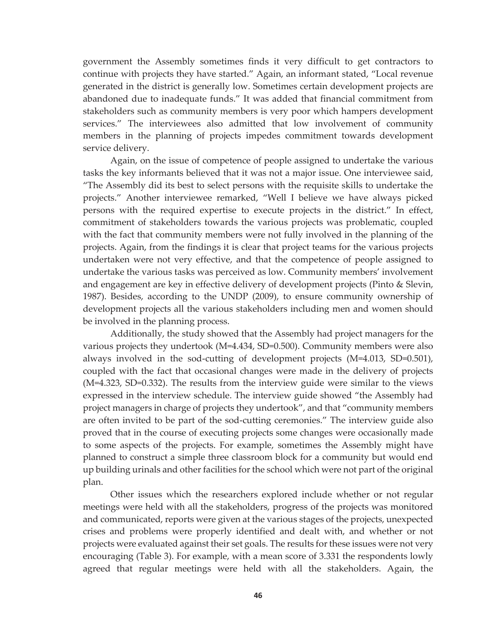government the Assembly sometimes finds it very difficult to get contractors to continue with projects they have started." Again, an informant stated, "Local revenue generated in the district is generally low. Sometimes certain development projects are abandoned due to inadequate funds." It was added that financial commitment from stakeholders such as community members is very poor which hampers development services." The interviewees also admitted that low involvement of community members in the planning of projects impedes commitment towards development service delivery.

Again, on the issue of competence of people assigned to undertake the various tasks the key informants believed that it was not a major issue. One interviewee said, "The Assembly did its best to select persons with the requisite skills to undertake the projects." Another interviewee remarked, "Well I believe we have always picked persons with the required expertise to execute projects in the district." In effect, commitment of stakeholders towards the various projects was problematic, coupled with the fact that community members were not fully involved in the planning of the projects. Again, from the findings it is clear that project teams for the various projects undertaken were not very effective, and that the competence of people assigned to undertake the various tasks was perceived as low. Community members' involvement and engagement are key in effective delivery of development projects (Pinto & Slevin, 1987). Besides, according to the UNDP (2009), to ensure community ownership of development projects all the various stakeholders including men and women should be involved in the planning process.

Additionally, the study showed that the Assembly had project managers for the various projects they undertook (M=4.434, SD=0.500). Community members were also always involved in the sod-cutting of development projects (M=4.013, SD=0.501), coupled with the fact that occasional changes were made in the delivery of projects (M=4.323, SD=0.332). The results from the interview guide were similar to the views expressed in the interview schedule. The interview guide showed "the Assembly had project managers in charge of projects they undertook", and that "community members are often invited to be part of the sod-cutting ceremonies." The interview guide also proved that in the course of executing projects some changes were occasionally made to some aspects of the projects. For example, sometimes the Assembly might have planned to construct a simple three classroom block for a community but would end up building urinals and other facilities for the school which were not part of the original plan.

Other issues which the researchers explored include whether or not regular meetings were held with all the stakeholders, progress of the projects was monitored and communicated, reports were given at the various stages of the projects, unexpected crises and problems were properly identified and dealt with, and whether or not projects were evaluated against their set goals. The results for these issues were not very encouraging (Table 3). For example, with a mean score of 3.331 the respondents lowly agreed that regular meetings were held with all the stakeholders. Again, the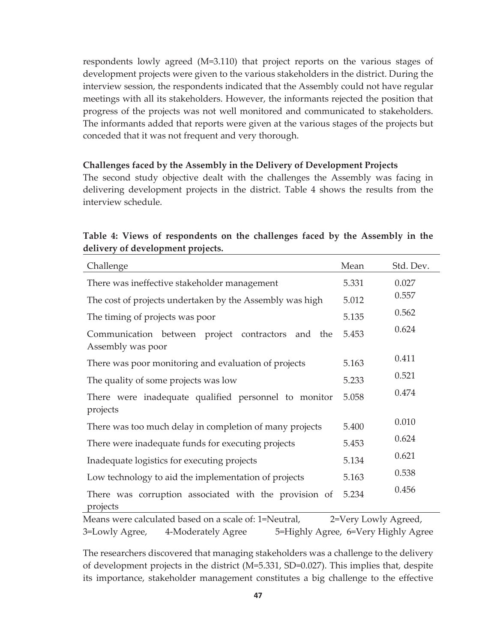respondents lowly agreed (M=3.110) that project reports on the various stages of development projects were given to the various stakeholders in the district. During the interview session, the respondents indicated that the Assembly could not have regular meetings with all its stakeholders. However, the informants rejected the position that progress of the projects was not well monitored and communicated to stakeholders. The informants added that reports were given at the various stages of the projects but conceded that it was not frequent and very thorough.

## **Challenges faced by the Assembly in the Delivery of Development Projects**

The second study objective dealt with the challenges the Assembly was facing in delivering development projects in the district. Table 4 shows the results from the interview schedule.

# **Table 4: Views of respondents on the challenges faced by the Assembly in the delivery of development projects.**

| Challenge                                                                 | Mean                   | Std. Dev. |
|---------------------------------------------------------------------------|------------------------|-----------|
| There was ineffective stakeholder management                              | 5.331                  | 0.027     |
| The cost of projects undertaken by the Assembly was high                  | 5.012                  | 0.557     |
| The timing of projects was poor                                           | 5.135                  | 0.562     |
| Communication between project contractors<br>and the<br>Assembly was poor | 5.453                  | 0.624     |
| There was poor monitoring and evaluation of projects                      | 5.163                  | 0.411     |
| The quality of some projects was low                                      | 5.233                  | 0.521     |
| There were inadequate qualified personnel to monitor<br>projects          | 5.058                  | 0.474     |
| There was too much delay in completion of many projects                   | 5.400                  | 0.010     |
| There were inadequate funds for executing projects                        | 5.453                  | 0.624     |
| Inadequate logistics for executing projects                               | 5.134                  | 0.621     |
| Low technology to aid the implementation of projects                      | 5.163                  | 0.538     |
| There was corruption associated with the provision of<br>projects         | 5.234                  | 0.456     |
| Moone ware calculated based on a scale of 1-Noutral                       | $2-V$ ory Lough Agrood |           |

Means were calculated based on a scale of: 1=Neutral, 2=Very Lowly Agreed, 3=Lowly Agree, 4-Moderately Agree 5=Highly Agree, 6=Very Highly Agree

The researchers discovered that managing stakeholders was a challenge to the delivery of development projects in the district (M=5.331, SD=0.027). This implies that, despite its importance, stakeholder management constitutes a big challenge to the effective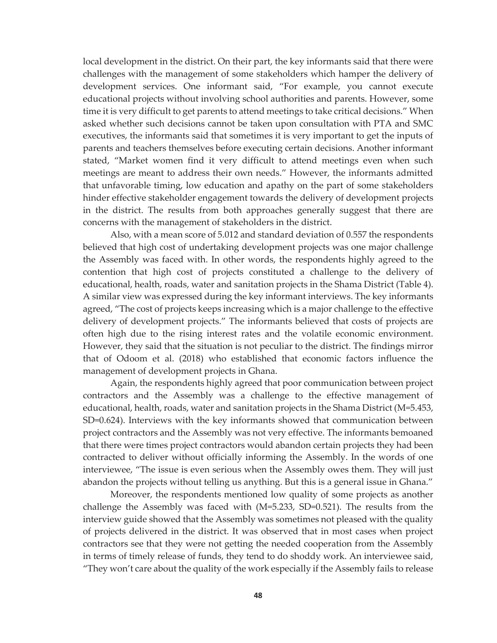local development in the district. On their part, the key informants said that there were challenges with the management of some stakeholders which hamper the delivery of development services. One informant said, "For example, you cannot execute educational projects without involving school authorities and parents. However, some time it is very difficult to get parents to attend meetings to take critical decisions." When asked whether such decisions cannot be taken upon consultation with PTA and SMC executives, the informants said that sometimes it is very important to get the inputs of parents and teachers themselves before executing certain decisions. Another informant stated, "Market women find it very difficult to attend meetings even when such meetings are meant to address their own needs." However, the informants admitted that unfavorable timing, low education and apathy on the part of some stakeholders hinder effective stakeholder engagement towards the delivery of development projects in the district. The results from both approaches generally suggest that there are concerns with the management of stakeholders in the district.

Also, with a mean score of 5.012 and standard deviation of 0.557 the respondents believed that high cost of undertaking development projects was one major challenge the Assembly was faced with. In other words, the respondents highly agreed to the contention that high cost of projects constituted a challenge to the delivery of educational, health, roads, water and sanitation projects in the Shama District (Table 4). A similar view was expressed during the key informant interviews. The key informants agreed, "The cost of projects keeps increasing which is a major challenge to the effective delivery of development projects." The informants believed that costs of projects are often high due to the rising interest rates and the volatile economic environment. However, they said that the situation is not peculiar to the district. The findings mirror that of Odoom et al. (2018) who established that economic factors influence the management of development projects in Ghana.

Again, the respondents highly agreed that poor communication between project contractors and the Assembly was a challenge to the effective management of educational, health, roads, water and sanitation projects in the Shama District (M=5.453, SD=0.624). Interviews with the key informants showed that communication between project contractors and the Assembly was not very effective. The informants bemoaned that there were times project contractors would abandon certain projects they had been contracted to deliver without officially informing the Assembly. In the words of one interviewee, "The issue is even serious when the Assembly owes them. They will just abandon the projects without telling us anything. But this is a general issue in Ghana."

Moreover, the respondents mentioned low quality of some projects as another challenge the Assembly was faced with (M=5.233, SD=0.521). The results from the interview guide showed that the Assembly was sometimes not pleased with the quality of projects delivered in the district. It was observed that in most cases when project contractors see that they were not getting the needed cooperation from the Assembly in terms of timely release of funds, they tend to do shoddy work. An interviewee said, "They won't care about the quality of the work especially if the Assembly fails to release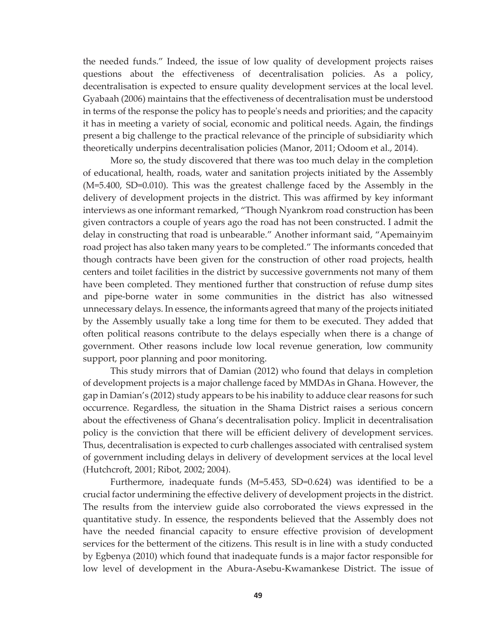the needed funds." Indeed, the issue of low quality of development projects raises questions about the effectiveness of decentralisation policies. As a policy, decentralisation is expected to ensure quality development services at the local level. Gyabaah (2006) maintains that the effectiveness of decentralisation must be understood in terms of the response the policy has to people's needs and priorities; and the capacity it has in meeting a variety of social, economic and political needs. Again, the findings present a big challenge to the practical relevance of the principle of subsidiarity which theoretically underpins decentralisation policies (Manor, 2011; Odoom et al., 2014).

More so, the study discovered that there was too much delay in the completion of educational, health, roads, water and sanitation projects initiated by the Assembly (M=5.400, SD=0.010). This was the greatest challenge faced by the Assembly in the delivery of development projects in the district. This was affirmed by key informant interviews as one informant remarked, "Though Nyankrom road construction has been given contractors a couple of years ago the road has not been constructed. I admit the delay in constructing that road is unbearable." Another informant said, "Apemainyim road project has also taken many years to be completed." The informants conceded that though contracts have been given for the construction of other road projects, health centers and toilet facilities in the district by successive governments not many of them have been completed. They mentioned further that construction of refuse dump sites and pipe-borne water in some communities in the district has also witnessed unnecessary delays. In essence, the informants agreed that many of the projects initiated by the Assembly usually take a long time for them to be executed. They added that often political reasons contribute to the delays especially when there is a change of government. Other reasons include low local revenue generation, low community support, poor planning and poor monitoring.

This study mirrors that of Damian (2012) who found that delays in completion of development projects is a major challenge faced by MMDAs in Ghana. However, the gap in Damian's (2012) study appears to be his inability to adduce clear reasons for such occurrence. Regardless, the situation in the Shama District raises a serious concern about the effectiveness of Ghana's decentralisation policy. Implicit in decentralisation policy is the conviction that there will be efficient delivery of development services. Thus, decentralisation is expected to curb challenges associated with centralised system of government including delays in delivery of development services at the local level (Hutchcroft, 2001; Ribot, 2002; 2004).

Furthermore, inadequate funds (M=5.453, SD=0.624) was identified to be a crucial factor undermining the effective delivery of development projects in the district. The results from the interview guide also corroborated the views expressed in the quantitative study. In essence, the respondents believed that the Assembly does not have the needed financial capacity to ensure effective provision of development services for the betterment of the citizens. This result is in line with a study conducted by Egbenya (2010) which found that inadequate funds is a major factor responsible for low level of development in the Abura-Asebu-Kwamankese District. The issue of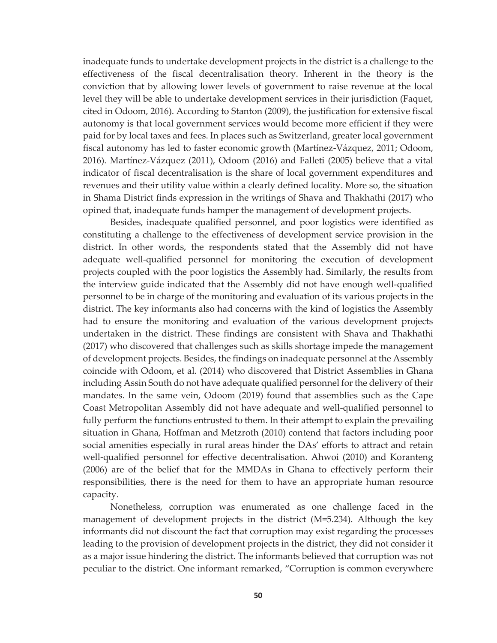inadequate funds to undertake development projects in the district is a challenge to the effectiveness of the fiscal decentralisation theory. Inherent in the theory is the conviction that by allowing lower levels of government to raise revenue at the local level they will be able to undertake development services in their jurisdiction (Faquet, cited in Odoom, 2016). According to Stanton (2009), the justification for extensive fiscal autonomy is that local government services would become more efficient if they were paid for by local taxes and fees. In places such as Switzerland, greater local government fiscal autonomy has led to faster economic growth (Martínez-Vázquez, 2011; Odoom, 2016). Martínez-Vázquez (2011), Odoom (2016) and Falleti (2005) believe that a vital indicator of fiscal decentralisation is the share of local government expenditures and revenues and their utility value within a clearly defined locality. More so, the situation in Shama District finds expression in the writings of Shava and Thakhathi (2017) who opined that, inadequate funds hamper the management of development projects.

Besides, inadequate qualified personnel, and poor logistics were identified as constituting a challenge to the effectiveness of development service provision in the district. In other words, the respondents stated that the Assembly did not have adequate well-qualified personnel for monitoring the execution of development projects coupled with the poor logistics the Assembly had. Similarly, the results from the interview guide indicated that the Assembly did not have enough well-qualified personnel to be in charge of the monitoring and evaluation of its various projects in the district. The key informants also had concerns with the kind of logistics the Assembly had to ensure the monitoring and evaluation of the various development projects undertaken in the district. These findings are consistent with Shava and Thakhathi (2017) who discovered that challenges such as skills shortage impede the management of development projects. Besides, the findings on inadequate personnel at the Assembly coincide with Odoom, et al. (2014) who discovered that District Assemblies in Ghana including Assin South do not have adequate qualified personnel for the delivery of their mandates. In the same vein, Odoom (2019) found that assemblies such as the Cape Coast Metropolitan Assembly did not have adequate and well-qualified personnel to fully perform the functions entrusted to them. In their attempt to explain the prevailing situation in Ghana, Hoffman and Metzroth (2010) contend that factors including poor social amenities especially in rural areas hinder the DAs' efforts to attract and retain well-qualified personnel for effective decentralisation. Ahwoi (2010) and Koranteng (2006) are of the belief that for the MMDAs in Ghana to effectively perform their responsibilities, there is the need for them to have an appropriate human resource capacity.

Nonetheless, corruption was enumerated as one challenge faced in the management of development projects in the district (M=5.234). Although the key informants did not discount the fact that corruption may exist regarding the processes leading to the provision of development projects in the district, they did not consider it as a major issue hindering the district. The informants believed that corruption was not peculiar to the district. One informant remarked, "Corruption is common everywhere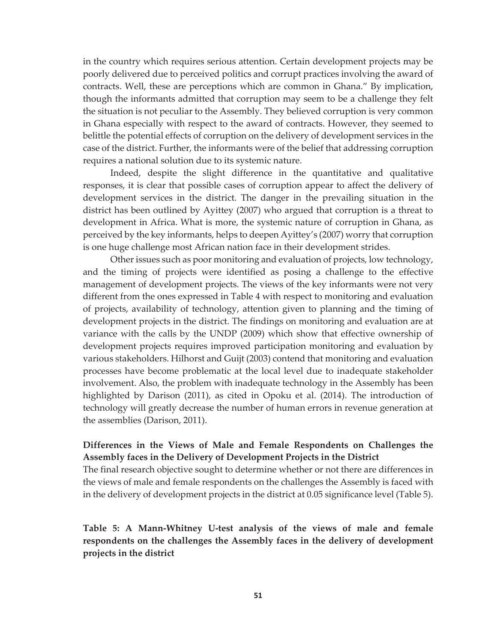in the country which requires serious attention. Certain development projects may be poorly delivered due to perceived politics and corrupt practices involving the award of contracts. Well, these are perceptions which are common in Ghana." By implication, though the informants admitted that corruption may seem to be a challenge they felt the situation is not peculiar to the Assembly. They believed corruption is very common in Ghana especially with respect to the award of contracts. However, they seemed to belittle the potential effects of corruption on the delivery of development services in the case of the district. Further, the informants were of the belief that addressing corruption requires a national solution due to its systemic nature.

Indeed, despite the slight difference in the quantitative and qualitative responses, it is clear that possible cases of corruption appear to affect the delivery of development services in the district. The danger in the prevailing situation in the district has been outlined by Ayittey (2007) who argued that corruption is a threat to development in Africa. What is more, the systemic nature of corruption in Ghana, as perceived by the key informants, helps to deepen Ayittey's (2007) worry that corruption is one huge challenge most African nation face in their development strides.

Other issues such as poor monitoring and evaluation of projects, low technology, and the timing of projects were identified as posing a challenge to the effective management of development projects. The views of the key informants were not very different from the ones expressed in Table 4 with respect to monitoring and evaluation of projects, availability of technology, attention given to planning and the timing of development projects in the district. The findings on monitoring and evaluation are at variance with the calls by the UNDP (2009) which show that effective ownership of development projects requires improved participation monitoring and evaluation by various stakeholders. Hilhorst and Guijt (2003) contend that monitoring and evaluation processes have become problematic at the local level due to inadequate stakeholder involvement. Also, the problem with inadequate technology in the Assembly has been highlighted by Darison (2011), as cited in Opoku et al. (2014). The introduction of technology will greatly decrease the number of human errors in revenue generation at the assemblies (Darison, 2011).

# **Differences in the Views of Male and Female Respondents on Challenges the Assembly faces in the Delivery of Development Projects in the District**

The final research objective sought to determine whether or not there are differences in the views of male and female respondents on the challenges the Assembly is faced with in the delivery of development projects in the district at 0.05 significance level (Table 5).

**Table 5: A Mann-Whitney U-test analysis of the views of male and female respondents on the challenges the Assembly faces in the delivery of development projects in the district**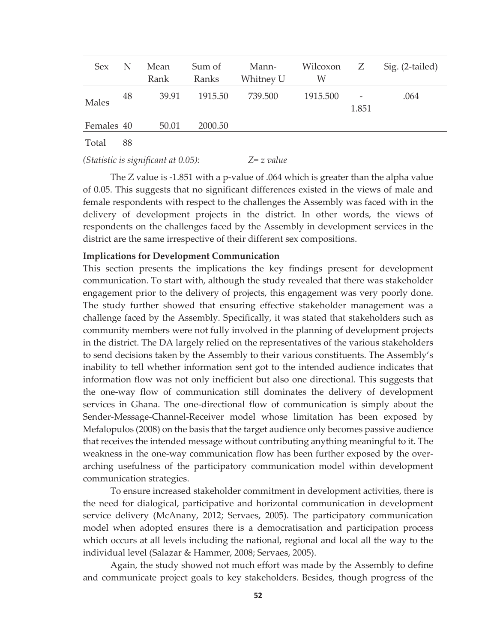| <b>Sex</b> | N  | Mean<br>Rank | Sum of<br>Ranks | Mann-<br>Whitney U | Wilcoxon<br>W | Z     | Sig. (2-tailed) |
|------------|----|--------------|-----------------|--------------------|---------------|-------|-----------------|
| Males      | 48 | 39.91        | 1915.50         | 739.500            | 1915.500      | 1.851 | .064            |
| Females 40 |    | 50.01        | 2000.50         |                    |               |       |                 |
| Total      | 88 |              |                 |                    |               |       |                 |

*(Statistic is significant at 0.05): Z= z value* 

The Z value is -1.851 with a p-value of .064 which is greater than the alpha value of 0.05. This suggests that no significant differences existed in the views of male and female respondents with respect to the challenges the Assembly was faced with in the delivery of development projects in the district. In other words, the views of respondents on the challenges faced by the Assembly in development services in the district are the same irrespective of their different sex compositions.

## **Implications for Development Communication**

This section presents the implications the key findings present for development communication. To start with, although the study revealed that there was stakeholder engagement prior to the delivery of projects, this engagement was very poorly done. The study further showed that ensuring effective stakeholder management was a challenge faced by the Assembly. Specifically, it was stated that stakeholders such as community members were not fully involved in the planning of development projects in the district. The DA largely relied on the representatives of the various stakeholders to send decisions taken by the Assembly to their various constituents. The Assembly's inability to tell whether information sent got to the intended audience indicates that information flow was not only inefficient but also one directional. This suggests that the one-way flow of communication still dominates the delivery of development services in Ghana. The one-directional flow of communication is simply about the Sender-Message-Channel-Receiver model whose limitation has been exposed by Mefalopulos (2008) on the basis that the target audience only becomes passive audience that receives the intended message without contributing anything meaningful to it. The weakness in the one-way communication flow has been further exposed by the overarching usefulness of the participatory communication model within development communication strategies.

To ensure increased stakeholder commitment in development activities, there is the need for dialogical, participative and horizontal communication in development service delivery (McAnany, 2012; Servaes, 2005). The participatory communication model when adopted ensures there is a democratisation and participation process which occurs at all levels including the national, regional and local all the way to the individual level (Salazar & Hammer, 2008; Servaes, 2005).

Again, the study showed not much effort was made by the Assembly to define and communicate project goals to key stakeholders. Besides, though progress of the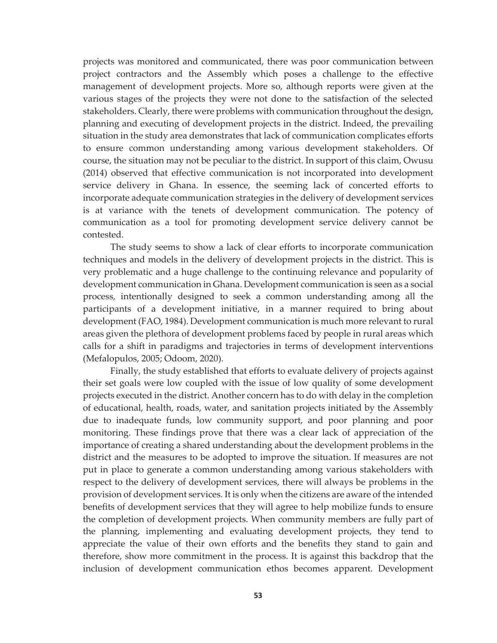projects was monitored and communicated, there was poor communication between project contractors and the Assembly which poses a challenge to the effective management of development projects. More so, although reports were given at the various stages of the projects they were not done to the satisfaction of the selected stakeholders. Clearly, there were problems with communication throughout the design, planning and executing of development projects in the district. Indeed, the prevailing situation in the study area demonstrates that lack of communication complicates efforts to ensure common understanding among various development stakeholders. Of course, the situation may not be peculiar to the district. In support of this claim, Owusu (2014) observed that effective communication is not incorporated into development service delivery in Ghana. In essence, the seeming lack of concerted efforts to incorporate adequate communication strategies in the delivery of development services is at variance with the tenets of development communication. The potency of communication as a tool for promoting development service delivery cannot be contested.

The study seems to show a lack of clear efforts to incorporate communication techniques and models in the delivery of development projects in the district. This is very problematic and a huge challenge to the continuing relevance and popularity of development communication in Ghana. Development communication is seen as a social process, intentionally designed to seek a common understanding among all the participants of a development initiative, in a manner required to bring about development (FAO, 1984). Development communication is much more relevant to rural areas given the plethora of development problems faced by people in rural areas which calls for a shift in paradigms and trajectories in terms of development interventions (Mefalopulos, 2005; Odoom, 2020).

Finally, the study established that efforts to evaluate delivery of projects against their set goals were low coupled with the issue of low quality of some development projects executed in the district. Another concern has to do with delay in the completion of educational, health, roads, water, and sanitation projects initiated by the Assembly due to inadequate funds, low community support, and poor planning and poor monitoring. These findings prove that there was a clear lack of appreciation of the importance of creating a shared understanding about the development problems in the district and the measures to be adopted to improve the situation. If measures are not put in place to generate a common understanding among various stakeholders with respect to the delivery of development services, there will always be problems in the provision of development services. It is only when the citizens are aware of the intended benefits of development services that they will agree to help mobilize funds to ensure the completion of development projects. When community members are fully part of the planning, implementing and evaluating development projects, they tend to appreciate the value of their own efforts and the benefits they stand to gain and therefore, show more commitment in the process. It is against this backdrop that the inclusion of development communication ethos becomes apparent. Development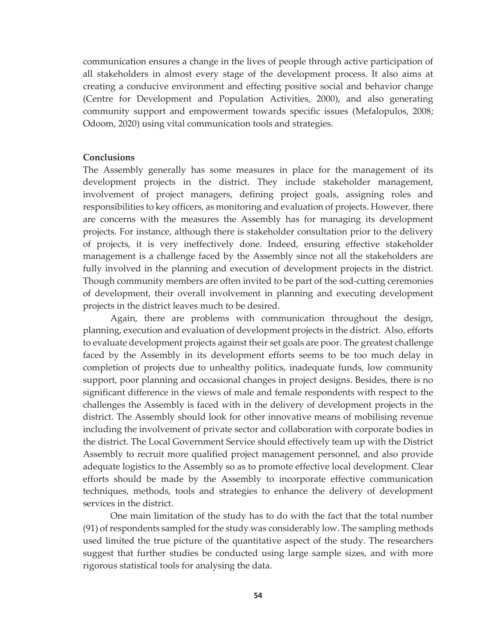communication ensures a change in the lives of people through active participation of all stakeholders in almost every stage of the development process. It also aims at creating a conducive environment and effecting positive social and behavior change (Centre for Development and Population Activities, 2000), and also generating community support and empowerment towards specific issues (Mefalopulos, 2008; Odoom, 2020) using vital communication tools and strategies.

## **Conclusions**

The Assembly generally has some measures in place for the management of its development projects in the district. They include stakeholder management, involvement of project managers, defining project goals, assigning roles and responsibilities to key officers, as monitoring and evaluation of projects. However, there are concerns with the measures the Assembly has for managing its development projects. For instance, although there is stakeholder consultation prior to the delivery of projects, it is very ineffectively done. Indeed, ensuring effective stakeholder management is a challenge faced by the Assembly since not all the stakeholders are fully involved in the planning and execution of development projects in the district. Though community members are often invited to be part of the sod-cutting ceremonies of development, their overall involvement in planning and executing development projects in the district leaves much to be desired.

Again, there are problems with communication throughout the design, planning, execution and evaluation of development projects in the district. Also, efforts to evaluate development projects against their set goals are poor. The greatest challenge faced by the Assembly in its development efforts seems to be too much delay in completion of projects due to unhealthy politics, inadequate funds, low community support, poor planning and occasional changes in project designs. Besides, there is no significant difference in the views of male and female respondents with respect to the challenges the Assembly is faced with in the delivery of development projects in the district. The Assembly should look for other innovative means of mobilising revenue including the involvement of private sector and collaboration with corporate bodies in the district. The Local Government Service should effectively team up with the District Assembly to recruit more qualified project management personnel, and also provide adequate logistics to the Assembly so as to promote effective local development. Clear efforts should be made by the Assembly to incorporate effective communication techniques, methods, tools and strategies to enhance the delivery of development services in the district.

One main limitation of the study has to do with the fact that the total number (91) of respondents sampled for the study was considerably low. The sampling methods used limited the true picture of the quantitative aspect of the study. The researchers suggest that further studies be conducted using large sample sizes, and with more rigorous statistical tools for analysing the data.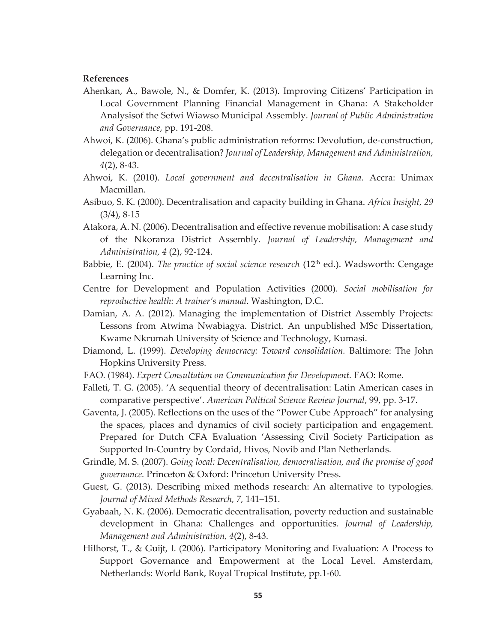## **References**

- Ahenkan, A., Bawole, N., & Domfer, K. (2013). Improving Citizens' Participation in Local Government Planning Financial Management in Ghana: A Stakeholder Analysisof the Sefwi Wiawso Municipal Assembly. *Journal of Public Administration and Governance*, pp. 191-208.
- Ahwoi, K. (2006). Ghana's public administration reforms: Devolution, de-construction, delegation or decentralisation? *Journal of Leadership, Management and Administration, 4*(2), 8-43.
- Ahwoi, K. (2010). *Local government and decentralisation in Ghana.* Accra: Unimax Macmillan.
- Asibuo, S. K. (2000). Decentralisation and capacity building in Ghana. *Africa Insight, 29* (3/4), 8-15
- Atakora, A. N. (2006). Decentralisation and effective revenue mobilisation: A case study of the Nkoranza District Assembly. *Journal of Leadership, Management and Administration, 4* (2), 92-124.
- Babbie, E. (2004). *The practice of social science research* (12<sup>th</sup> ed.). Wadsworth: Cengage Learning Inc.
- Centre for Development and Population Activities (2000). *Social mobilisation for reproductive health: A trainer's manual.* Washington, D.C.
- Damian, A. A. (2012). Managing the implementation of District Assembly Projects: Lessons from Atwima Nwabiagya. District. An unpublished MSc Dissertation, Kwame Nkrumah University of Science and Technology, Kumasi.
- Diamond, L. (1999). *Developing democracy: Toward consolidation.* Baltimore: The John Hopkins University Press.
- FAO. (1984). *Expert Consultation on Communication for Development.* FAO: Rome.
- Falleti, T. G. (2005). 'A sequential theory of decentralisation: Latin American cases in comparative perspective'. *American Political Science Review Journal*, 99, pp. 3-17.
- Gaventa, J. (2005). Reflections on the uses of the "Power Cube Approach" for analysing the spaces, places and dynamics of civil society participation and engagement. Prepared for Dutch CFA Evaluation 'Assessing Civil Society Participation as Supported In-Country by Cordaid, Hivos, Novib and Plan Netherlands.
- Grindle, M. S. (2007). *Going local: Decentralisation, democratisation, and the promise of good governance.* Princeton & Oxford: Princeton University Press.
- Guest, G. (2013). Describing mixed methods research: An alternative to typologies. *Journal of Mixed Methods Research, 7,* 141–151.
- Gyabaah, N. K. (2006). Democratic decentralisation, poverty reduction and sustainable development in Ghana: Challenges and opportunities. *Journal of Leadership, Management and Administration, 4*(2), 8-43.
- Hilhorst, T., & Guijt, I. (2006). Participatory Monitoring and Evaluation: A Process to Support Governance and Empowerment at the Local Level. Amsterdam, Netherlands: World Bank, Royal Tropical Institute, pp.1-60.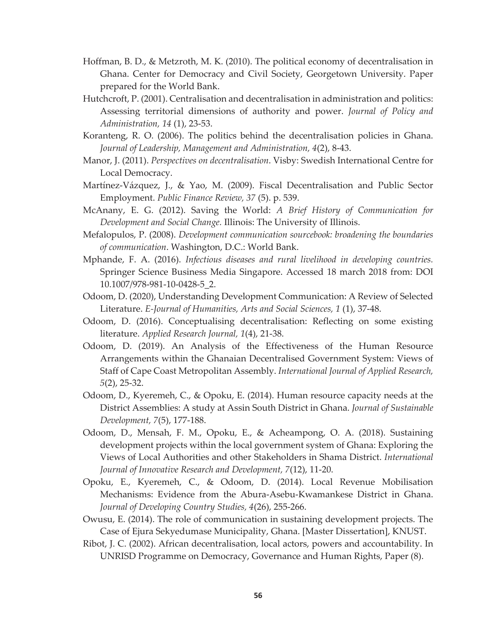- Hoffman, B. D., & Metzroth, M. K. (2010). The political economy of decentralisation in Ghana. Center for Democracy and Civil Society, Georgetown University. Paper prepared for the World Bank.
- Hutchcroft, P. (2001). Centralisation and decentralisation in administration and politics: Assessing territorial dimensions of authority and power. *Journal of Policy and Administration, 14* (1), 23-53.
- Koranteng, R. O. (2006). The politics behind the decentralisation policies in Ghana. *Journal of Leadership, Management and Administration, 4*(2), 8-43.
- Manor, J. (2011). *Perspectives on decentralisation*. Visby: Swedish International Centre for Local Democracy.
- Martínez-Vázquez, J., & Yao, M. (2009). Fiscal Decentralisation and Public Sector Employment. *Public Finance Review, 37* (5). p. 539.
- McAnany, E. G. (2012). Saving the World: *A Brief History of Communication for Development and Social Change.* Illinois: The University of Illinois.
- Mefalopulos, P. (2008). *Development communication sourcebook: broadening the boundaries of communication*. Washington, D.C.: World Bank.
- Mphande, F. A. (2016). *Infectious diseases and rural livelihood in developing countries.* Springer Science Business Media Singapore. Accessed 18 march 2018 from: DOI 10.1007/978-981-10-0428-5\_2.
- Odoom, D. (2020), Understanding Development Communication: A Review of Selected Literature. *E-Journal of Humanities, Arts and Social Sciences, 1* (1), 37-48.
- Odoom, D. (2016). Conceptualising decentralisation: Reflecting on some existing literature. *Applied Research Journal, 1*(4), 21-38.
- Odoom, D. (2019). An Analysis of the Effectiveness of the Human Resource Arrangements within the Ghanaian Decentralised Government System: Views of Staff of Cape Coast Metropolitan Assembly. *International Journal of Applied Research, 5*(2), 25-32.
- Odoom, D., Kyeremeh, C., & Opoku, E. (2014). Human resource capacity needs at the District Assemblies: A study at Assin South District in Ghana. *Journal of Sustainable Development, 7*(5), 177-188.
- Odoom, D., Mensah, F. M., Opoku, E., & Acheampong, O. A. (2018). Sustaining development projects within the local government system of Ghana: Exploring the Views of Local Authorities and other Stakeholders in Shama District. *International Journal of Innovative Research and Development, 7*(12), 11-20.
- Opoku, E., Kyeremeh, C., & Odoom, D. (2014). Local Revenue Mobilisation Mechanisms: Evidence from the Abura-Asebu-Kwamankese District in Ghana. *Journal of Developing Country Studies, 4*(26), 255-266.
- Owusu, E. (2014). The role of communication in sustaining development projects. The Case of Ejura Sekyedumase Municipality, Ghana. [Master Dissertation], KNUST.
- Ribot, J. C. (2002). African decentralisation, local actors, powers and accountability. In UNRISD Programme on Democracy, Governance and Human Rights, Paper (8).